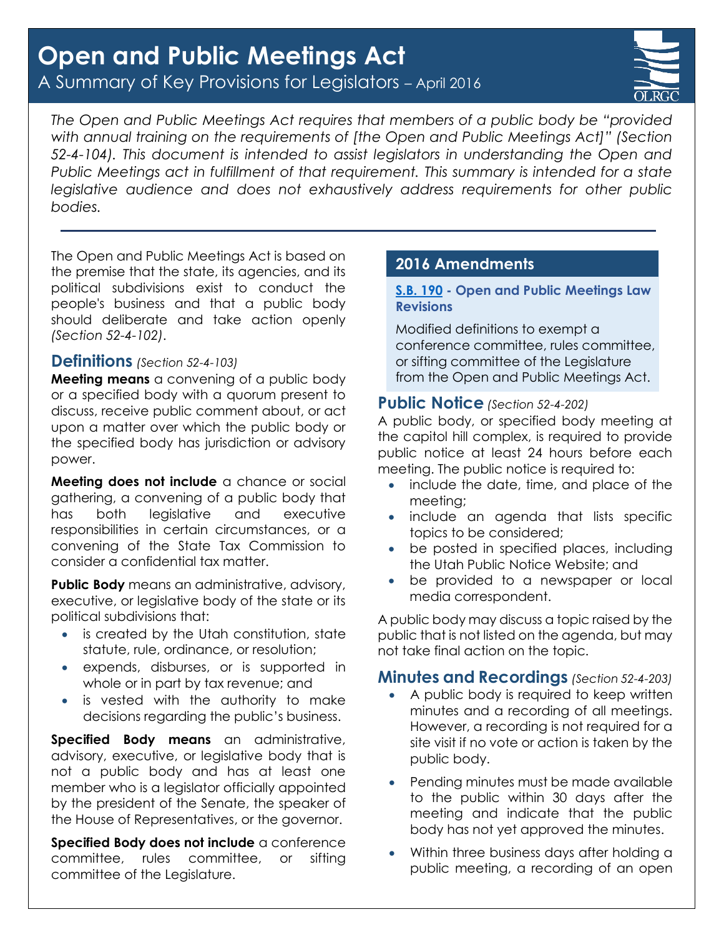# **Open and Public Meetings Act** A Summary of Key Provisions for Legislators – April 2016



*The Open and Public Meetings Act requires that members of a public body be "provided with annual training on the requirements of [the Open and Public Meetings Act]" (Section 52-4-104). This document is intended to assist legislators in understanding the Open and Public Meetings act in fulfillment of that requirement. This summary is intended for a state legislative audience and does not exhaustively address requirements for other public bodies.*

The Open and Public Meetings Act is based on the premise that the state, its agencies, and its political subdivisions exist to conduct the people's business and that a public body should deliberate and take action openly *(Section 52-4-102)*.

# **Definitions** *(Section 52-4-103)*

**Meeting means** a convening of a public body or a specified body with a quorum present to discuss, receive public comment about, or act upon a matter over which the public body or the specified body has jurisdiction or advisory power.

**Meeting does not include** a chance or social gathering, a convening of a public body that has both legislative and executive responsibilities in certain circumstances, or a convening of the State Tax Commission to consider a confidential tax matter.

**Public Body** means an administrative, advisory, executive, or legislative body of the state or its political subdivisions that:

- is created by the Utah constitution, state statute, rule, ordinance, or resolution;
- expends, disburses, or is supported in whole or in part by tax revenue; and
- is vested with the authority to make decisions regarding the public's business.

**Specified Body means** an administrative, advisory, executive, or legislative body that is not a public body and has at least one member who is a legislator officially appointed by the president of the Senate, the speaker of the House of Representatives, or the governor.

**Specified Body does not include** a conference committee, rules committee, or sifting committee of the Legislature.

# **2016 Amendments**

#### **[S.B. 190](http://le.utah.gov/~2016/bills/static/SB0190.html) - Open and Public Meetings Law Revisions**

Modified definitions to exempt a conference committee, rules committee, or sifting committee of the Legislature from the Open and Public Meetings Act.

## **Public Notice** *(Section 52-4-202)*

A public body, or specified body meeting at the capitol hill complex, is required to provide public notice at least 24 hours before each meeting. The public notice is required to:

- include the date, time, and place of the meeting;
- include an agenda that lists specific topics to be considered;
- be posted in specified places, including the Utah Public Notice Website; and
- be provided to a newspaper or local media correspondent.

A public body may discuss a topic raised by the public that is not listed on the agenda, but may not take final action on the topic.

## **Minutes and Recordings** *(Section 52-4-203)*

- A public body is required to keep written minutes and a recording of all meetings. However, a recording is not required for a site visit if no vote or action is taken by the public body.
- Pending minutes must be made available to the public within 30 days after the meeting and indicate that the public body has not yet approved the minutes.
- Within three business days after holding a public meeting, a recording of an open